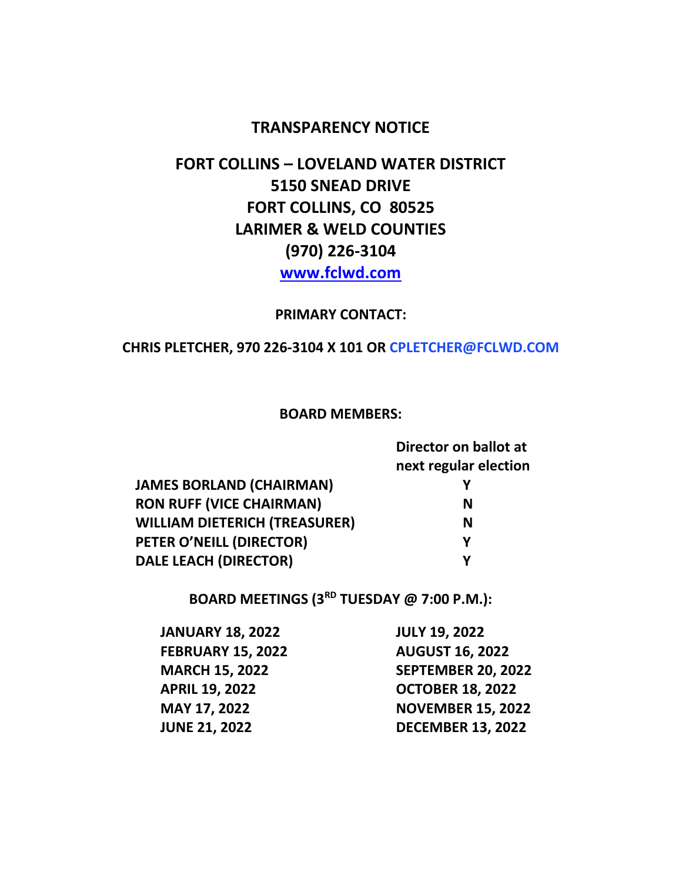### **TRANSPARENCY NOTICE**

# **FORT COLLINS – LOVELAND WATER DISTRICT 5150 SNEAD DRIVE FORT COLLINS, CO 80525 LARIMER & WELD COUNTIES (970) 226-3104 [www.fclwd.com](http://www.fclwd.com/)**

#### **PRIMARY CONTACT:**

#### **CHRIS PLETCHER, 970 226-3104 X 101 OR CPLETCHER@FCLWD.COM**

#### **BOARD MEMBERS:**

|                                      | Director on ballot at<br>next regular election |
|--------------------------------------|------------------------------------------------|
| <b>JAMES BORLAND (CHAIRMAN)</b>      |                                                |
| <b>RON RUFF (VICE CHAIRMAN)</b>      | N                                              |
| <b>WILLIAM DIETERICH (TREASURER)</b> | N                                              |
| PETER O'NEILL (DIRECTOR)             | Υ                                              |
| <b>DALE LEACH (DIRECTOR)</b>         | γ                                              |
|                                      |                                                |

**BOARD MEETINGS (3RD TUESDAY @ 7:00 P.M.):**

| <b>JANUARY 18, 2022</b>  |
|--------------------------|
| <b>FEBRUARY 15, 2022</b> |
| <b>MARCH 15, 2022</b>    |
| <b>APRIL 19, 2022</b>    |
| <b>MAY 17, 2022</b>      |
| <b>JUNE 21, 2022</b>     |

**JANUARY 18, 2022 JULY 19, 2022 FEBRUARY 15, 2022 AUGUST 16, 2022 MARCH 15, 2022 SEPTEMBER 20, 2022 APRIL 19, 2022 OCTOBER 18, 2022 MAY 17, 2022 NOVEMBER 15, 2022 JUNE 21, 2022 DECEMBER 13, 2022**